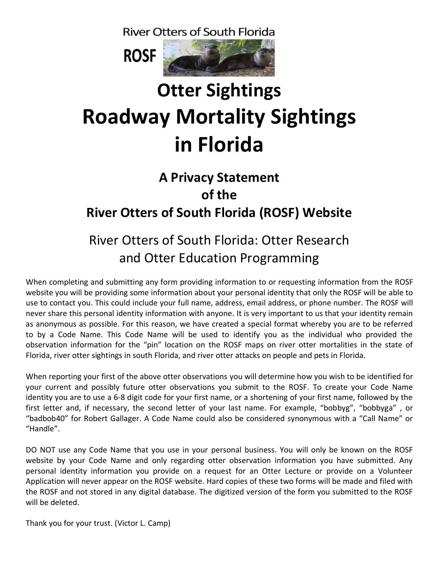**River Otters of South Florida** 



## **Otter Sightings Roadway Mortality Sightings in Florida**

## **A Privacy Statement of the River Otters of South Florida (ROSF) Website**

## River Otters of South Florida: Otter Research and Otter Education Programming

When completing and submitting any form providing information to or requesting information from the ROSF website you will be providing some information about your personal identity that only the ROSF will be able to use to contact you. This could include your full name, address, email address, or phone number. The ROSF will never share this personal identity information with anyone. It is very important to us that your identity remain as anonymous as possible. For this reason, we have created a special format whereby you are to be referred to by a Code Name. This Code Name will be used to identify you as the individual who provided the observation information for the "pin" location on the ROSF maps on river otter mortalities in the state of Florida, river otter sightings in south Florida, and river otter attacks on people and pets in Florida.

When reporting your first of the above otter observations you will determine how you wish to be identified for your current and possibly future otter observations you submit to the ROSF. To create your Code Name identity you are to use a 6-8 digit code for your first name, or a shortening of your first name, followed by the first letter and, if necessary, the second letter of your last name. For example, "bobbyg", "bobbyga" , or "badbob40" for Robert Gallager. A Code Name could also be considered synonymous with a "Call Name" or "Handle".

DO NOT use any Code Name that you use in your personal business. You will only be known on the ROSF website by your Code Name and only regarding otter observation information you have submitted. Any personal identity information you provide on a request for an Otter Lecture or provide on a Volunteer Application will never appear on the ROSF website. Hard copies of these two forms will be made and filed with the ROSF and not stored in any digital database. The digitized version of the form you submitted to the ROSF will be deleted.

Thank you for your trust. (Victor L. Camp)